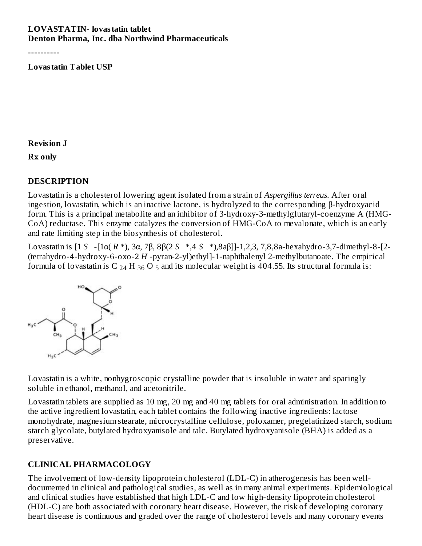#### **LOVASTATIN- lovastatin tablet Denton Pharma, Inc. dba Northwind Pharmaceuticals**

----------

**Lovastatin Tablet USP**

**Revision J**

**Rx only**

#### **DESCRIPTION**

Lovastatin is a cholesterol lowering agent isolated from a strain of *Aspergillus terreus.* After oral ingestion, lovastatin, which is an inactive lactone, is hydrolyzed to the corresponding β-hydroxyacid form. This is a principal metabolite and an inhibitor of 3-hydroxy-3-methylglutaryl-coenzyme A (HMG-CoA) reductase. This enzyme catalyzes the conversion of HMG-CoA to mevalonate, which is an early and rate limiting step in the biosynthesis of cholesterol.

Lovastatin is [1 *S* -[1α( *R* \*), 3α, 7β, 8β(2 *S* \*,4 *S* \*),8aβ]]-1,2,3, 7,8,8a-hexahydro-3,7-dimethyl-8-[2- (tetrahydro-4-hydroxy-6-oxo-2 *H* -pyran-2-yl)ethyl]-1-naphthalenyl 2-methylbutanoate. The empirical formula of lovastatin is C  $_{24}$  H  $_{36}$  O  $_5$  and its molecular weight is 404.55. Its structural formula is:



Lovastatin is a white, nonhygroscopic crystalline powder that is insoluble in water and sparingly soluble in ethanol, methanol, and acetonitrile.

Lovastatin tablets are supplied as 10 mg, 20 mg and 40 mg tablets for oral administration. In addition to the active ingredient lovastatin, each tablet contains the following inactive ingredients: lactose monohydrate, magnesium stearate, microcrystalline cellulose, poloxamer, pregelatinized starch, sodium starch glycolate, butylated hydroxyanisole and talc. Butylated hydroxyanisole (BHA) is added as a preservative.

## **CLINICAL PHARMACOLOGY**

The involvement of low-density lipoprotein cholesterol (LDL-C) in atherogenesis has been welldocumented in clinical and pathological studies, as well as in many animal experiments. Epidemiological and clinical studies have established that high LDL-C and low high-density lipoprotein cholesterol (HDL-C) are both associated with coronary heart disease. However, the risk of developing coronary heart disease is continuous and graded over the range of cholesterol levels and many coronary events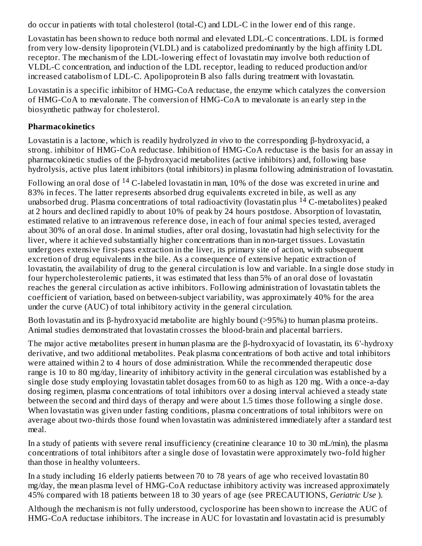do occur in patients with total cholesterol (total-C) and LDL-C in the lower end of this range.

Lovastatin has been shown to reduce both normal and elevated LDL-C concentrations. LDL is formed from very low-density lipoprotein (VLDL) and is catabolized predominantly by the high affinity LDL receptor. The mechanism of the LDL-lowering effect of lovastatin may involve both reduction of VLDL-C concentration, and induction of the LDL receptor, leading to reduced production and/or increased catabolism of LDL-C. Apolipoprotein B also falls during treatment with lovastatin.

Lovastatin is a specific inhibitor of HMG-CoA reductase, the enzyme which catalyzes the conversion of HMG-CoA to mevalonate. The conversion of HMG-CoA to mevalonate is an early step in the biosynthetic pathway for cholesterol.

#### **Pharmacokinetics**

Lovastatin is a lactone, which is readily hydrolyzed *in vivo* to the corresponding β-hydroxyacid, a strong. inhibitor of HMG-CoA reductase. Inhibition of HMG-CoA reductase is the basis for an assay in pharmacokinetic studies of the β-hydroxyacid metabolites (active inhibitors) and, following base hydrolysis, active plus latent inhibitors (total inhibitors) in plasma following administration of lovastatin.

Following an oral dose of  $^{14}$  C-labeled lovastatin in man, 10% of the dose was excreted in urine and 83% in feces. The latter represents absorbed drug equivalents excreted in bile, as well as any unabsorbed drug. Plasma concentrations of total radioactivity (lovastatin plus  $^{14}$  C-metabolites) peaked at 2 hours and declined rapidly to about 10% of peak by 24 hours postdose. Absorption of lovastatin, estimated relative to an intravenous reference dose, in each of four animal species tested, averaged about 30% of an oral dose. In animal studies, after oral dosing, lovastatin had high selectivity for the liver, where it achieved substantially higher concentrations than in non-target tissues. Lovastatin undergoes extensive first-pass extraction in the liver, its primary site of action, with subsequent excretion of drug equivalents in the bile. As a consequence of extensive hepatic extraction of lovastatin, the availability of drug to the general circulation is low and variable. In a single dose study in four hypercholesterolemic patients, it was estimated that less than 5% of an oral dose of lovastatin reaches the general circulation as active inhibitors. Following administration of lovastatin tablets the coefficient of variation, based on between-subject variability, was approximately 40% for the area under the curve (AUC) of total inhibitory activity in the general circulation.

Both lovastatin and its β-hydroxyacid metabolite are highly bound (>95%) to human plasma proteins. Animal studies demonstrated that lovastatin crosses the blood-brain and placental barriers.

The major active metabolites present in human plasma are the β-hydroxyacid of lovastatin, its 6'-hydroxy derivative, and two additional metabolites. Peak plasma concentrations of both active and total inhibitors were attained within 2 to 4 hours of dose administration. While the recommended therapeutic dose range is 10 to 80 mg/day, linearity of inhibitory activity in the general circulation was established by a single dose study employing lovastatin tablet dosages from 60 to as high as 120 mg. With a once-a-day dosing regimen, plasma concentrations of total inhibitors over a dosing interval achieved a steady state between the second and third days of therapy and were about 1.5 times those following a single dose. When lovastatin was given under fasting conditions, plasma concentrations of total inhibitors were on average about two-thirds those found when lovastatin was administered immediately after a standard test meal.

In a study of patients with severe renal insufficiency (creatinine clearance 10 to 30 mL/min), the plasma concentrations of total inhibitors after a single dose of lovastatin were approximately two-fold higher than those in healthy volunteers.

In a study including 16 elderly patients between 70 to 78 years of age who received lovastatin 80 mg/day, the mean plasma level of HMG-CoA reductase inhibitory activity was increased approximately 45% compared with 18 patients between 18 to 30 years of age (see PRECAUTIONS, *Geriatric Use* ).

Although the mechanism is not fully understood, cyclosporine has been shown to increase the AUC of HMG-CoA reductase inhibitors. The increase in AUC for lovastatin and lovastatin acid is presumably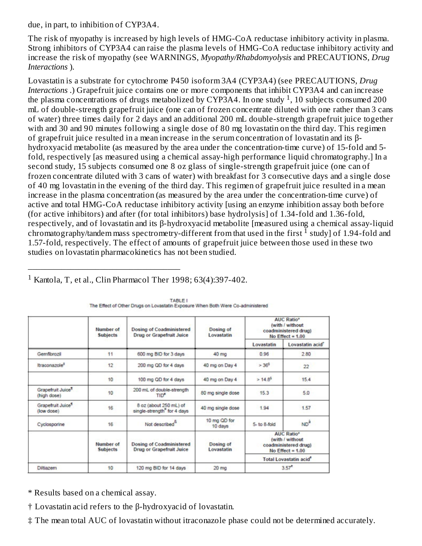due, in part, to inhibition of CYP3A4.

The risk of myopathy is increased by high levels of HMG-CoA reductase inhibitory activity in plasma. Strong inhibitors of CYP3A4 can raise the plasma levels of HMG-CoA reductase inhibitory activity and increase the risk of myopathy (see WARNINGS, *Myopathy/Rhabdomyolysis* and PRECAUTIONS, *Drug Interactions* ).

Lovastatin is a substrate for cytochrome P450 isoform 3A4 (CYP3A4) (see PRECAUTIONS, *Drug Interactions* .) Grapefruit juice contains one or more components that inhibit CYP3A4 and can increase the plasma concentrations of drugs metabolized by CYP3A4. In one study <sup>1</sup>, 10 subjects consumed 200 mL of double-strength grapefruit juice (one can of frozen concentrate diluted with one rather than 3 cans of water) three times daily for 2 days and an additional 200 mL double-strength grapefruit juice together with and 30 and 90 minutes following a single dose of 80 mg lovastatin on the third day. This regimen of grapefruit juice resulted in a mean increase in the serum concentration of lovastatin and its βhydroxyacid metabolite (as measured by the area under the concentration-time curve) of 15-fold and 5 fold, respectively [as measured using a chemical assay-high performance liquid chromatography.] In a second study, 15 subjects consumed one 8 oz glass of single-strength grapefruit juice (one can of frozen concentrate diluted with 3 cans of water) with breakfast for 3 consecutive days and a single dose of 40 mg lovastatin in the evening of the third day. This regimen of grapefruit juice resulted in a mean increase in the plasma concentration (as measured by the area under the concentration-time curve) of active and total HMG-CoA reductase inhibitory activity [using an enzyme inhibition assay both before (for active inhibitors) and after (for total inhibitors) base hydrolysis] of 1.34-fold and 1.36-fold, respectively, and of lovastatin and its β-hydroxyacid metabolite [measured using a chemical assay-liquid chromatography/tandem mass spectrometry-different from that used in the first  $^{\tilde{1}}$  study] of 1.94-fold and 1.57-fold, respectively. The effect of amounts of grapefruit juice between those used in these two studies on lovastatin pharmacokinetics has not been studied.

<sup>1</sup> Kantola, T, et al., Clin Pharmacol Ther 1998; 63(4):397-402.

\_\_\_\_\_\_\_\_\_\_\_\_\_\_\_\_\_\_\_\_\_\_\_\_\_\_\_\_\_\_\_\_\_\_\_\_

|                                              | Number of<br><b>Subjects</b> | <b>Dosing of Coadministered</b><br><b>Drug or Grapefruit Juice</b> | Dosing of<br>Lovastatin | <b>AUC Ratio*</b><br>(with / without<br>coadministered drug)<br>No Effect = $1.00$ |                     |  |
|----------------------------------------------|------------------------------|--------------------------------------------------------------------|-------------------------|------------------------------------------------------------------------------------|---------------------|--|
|                                              |                              |                                                                    |                         | Lovastatin                                                                         | Lovastatin acid     |  |
| Gemfibrozil                                  | 11                           | 600 mg BID for 3 days                                              | 40 mg                   | 0.96                                                                               | 2.80                |  |
| Itraconazole <sup>z</sup>                    | 12                           | 200 mg QD for 4 days                                               | 40 mg on Day 4          | > 36 <sup>6</sup>                                                                  | 22                  |  |
|                                              | 10                           | 100 mg QD for 4 days                                               | 40 mg on Day 4          | $>14.8^{6}$                                                                        | 15.4                |  |
| Grapefruit Juice <sup>1</sup><br>(high dose) | 10                           | 200 mL of double-strength<br>TID <sup>*</sup>                      | 80 mg single dose       | 15.3                                                                               | 5.0                 |  |
| Grapefruit Juice <sup>5</sup><br>(low dose)  | 16                           | 8 oz (about 250 mL) of<br>single-strength" for 4 days              | 40 mg single dose       | 1.94                                                                               | 1.57                |  |
| Cyclosporine                                 | 16                           | Not described <sup>®</sup>                                         | 10 mg QD for<br>10 days | 5- to 8-fold                                                                       | ND <sup>3</sup>     |  |
| Number of<br><b>Subjects</b>                 |                              | Dosing of Coadministered<br><b>Drug or Grapefruit Juice</b>        | Dosing of<br>Lovastatin | <b>AUC Ratio*</b><br>(with / without<br>coadministered drug)<br>No Effect = $1.00$ |                     |  |
|                                              |                              |                                                                    |                         | <b>Total Lovastatin acid</b>                                                       |                     |  |
| Diltiazem                                    | 10                           | 120 mg BID for 14 days                                             | 20 <sub>mg</sub>        |                                                                                    | $3.57$ <sup>*</sup> |  |

**TABLE** The Effect of Other Drugs on Lovastatin Exposure When Both Were Co-administered

- \* Results based on a chemical assay.
- † Lovastatin acid refers to the β-hydroxyacid of lovastatin.
- ‡ The mean total AUC of lovastatin without itraconazole phase could not be determined accurately.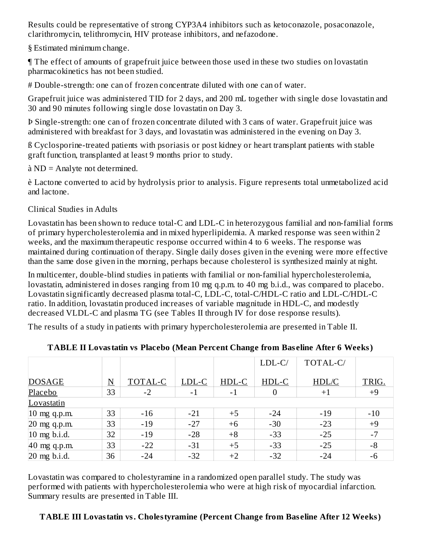Results could be representative of strong CYP3A4 inhibitors such as ketoconazole, posaconazole, clarithromycin, telithromycin, HIV protease inhibitors, and nefazodone.

§ Estimated minimum change.

¶ The effect of amounts of grapefruit juice between those used in these two studies on lovastatin pharmacokinetics has not been studied.

# Double-strength: one can of frozen concentrate diluted with one can of water.

Grapefruit juice was administered TID for 2 days, and 200 mL together with single dose lovastatin and 30 and 90 minutes following single dose lovastatin on Day 3.

Þ Single-strength: one can of frozen concentrate diluted with 3 cans of water. Grapefruit juice was administered with breakfast for 3 days, and lovastatin was administered in the evening on Day 3.

ß Cyclosporine-treated patients with psoriasis or post kidney or heart transplant patients with stable graft function, transplanted at least 9 months prior to study.

à ND = Analyte not determined.

è Lactone converted to acid by hydrolysis prior to analysis. Figure represents total unmetabolized acid and lactone.

Clinical Studies in Adults

Lovastatin has been shown to reduce total-C and LDL-C in heterozygous familial and non-familial forms of primary hypercholesterolemia and in mixed hyperlipidemia. A marked response was seen within 2 weeks, and the maximum therapeutic response occurred within 4 to 6 weeks. The response was maintained during continuation of therapy. Single daily doses given in the evening were more effective than the same dose given in the morning, perhaps because cholesterol is synthesized mainly at night.

In multicenter, double-blind studies in patients with familial or non-familial hypercholesterolemia, lovastatin, administered in doses ranging from 10 mg q.p.m. to 40 mg b.i.d., was compared to placebo. Lovastatin significantly decreased plasma total-C, LDL-C, total-C/HDL-C ratio and LDL-C/HDL-C ratio. In addition, lovastatin produced increases of variable magnitude in HDL-C, and modestly decreased VLDL-C and plasma TG (see Tables II through IV for dose response results).

The results of a study in patients with primary hypercholesterolemia are presented in Table II.

|                         |                       |                |       |       | $LDL-C/$ | TOTAL-C/ |       |
|-------------------------|-----------------------|----------------|-------|-------|----------|----------|-------|
| <b>DOSAGE</b>           | $\overline{\text{N}}$ | <b>TOTAL-C</b> | LDL-C | HDL-C | HDL-C    | HDL/C    | TRIG. |
| Placebo                 | 33                    | $-2$           | -1    | -1    |          | $+1$     | $+9$  |
| Lovastatin              |                       |                |       |       |          |          |       |
| $10 \text{ mg } q.p.m.$ | 33                    | $-16$          | $-21$ | $+5$  | $-24$    | $-19$    | $-10$ |
| 20 mg q.p.m.            | 33                    | $-19$          | $-27$ | $+6$  | $-30$    | $-23$    | $+9$  |
| $10$ mg b.i.d.          | 32                    | $-19$          | $-28$ | $+8$  | $-33$    | $-25$    | $-7$  |
| $40$ mg q.p.m.          | 33                    | $-22$          | $-31$ | $+5$  | $-33$    | $-25$    | $-8$  |
| 20 mg b.i.d.            | 36                    | $-24$          | $-32$ | $+2$  | $-32$    | $-24$    | $-6$  |

**TABLE II Lovastatin vs Placebo (Mean Percent Change from Bas eline After 6 Weeks)**

Lovastatin was compared to cholestyramine in a randomized open parallel study. The study was performed with patients with hypercholesterolemia who were at high risk of myocardial infarction. Summary results are presented in Table III.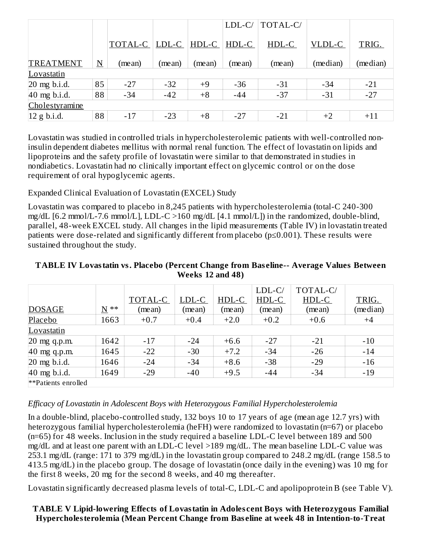|                      |             |         |        |        | $LDL-C/$ | TOTAL-C/ |          |          |
|----------------------|-------------|---------|--------|--------|----------|----------|----------|----------|
|                      |             | TOTAL-C | LDL-C  | HDL-C  | HDL-C    | HDL-C    | VLDL-C   | TRIG.    |
| <b>TREATMENT</b>     | $\mathbf N$ | (mean)  | (mean) | (mean) | (mean)   | (mean)   | (median) | (median) |
| Lovastatin           |             |         |        |        |          |          |          |          |
| $\vert$ 20 mg b.i.d. | 85          | $-27$   | $-32$  | $+9$   | $-36$    | $-31$    | $-34$    | $-21$    |
| $40$ mg b.i.d.       | 88          | $-34$   | $-42$  | $+8$   | -44      | $-37$    | $-31$    | $-27$    |
| Cholestyramine       |             |         |        |        |          |          |          |          |
| 12 g b.i.d.          | 88          | $-17$   | $-23$  | $+8$   | $-27$    | $-21$    | $+2$     | $+11$    |

Lovastatin was studied in controlled trials in hypercholesterolemic patients with well-controlled noninsulin dependent diabetes mellitus with normal renal function. The effect of lovastatin on lipids and lipoproteins and the safety profile of lovastatin were similar to that demonstrated in studies in nondiabetics. Lovastatin had no clinically important effect on glycemic control or on the dose requirement of oral hypoglycemic agents.

Expanded Clinical Evaluation of Lovastatin (EXCEL) Study

Lovastatin was compared to placebo in 8,245 patients with hypercholesterolemia (total-C 240-300 mg/dL [6.2 mmol/L-7.6 mmol/L], LDL-C >160 mg/dL [4.1 mmol/L]) in the randomized, double-blind, parallel, 48-week EXCEL study. All changes in the lipid measurements (Table IV) in lovastatin treated patients were dose-related and significantly different from placebo (p≤0.001). These results were sustained throughout the study.

#### **TABLE IV Lovastatin vs. Placebo (Percent Change from Bas eline-- Average Values Between Weeks 12 and 48)**

|                     |                    |         |        |        | $LDL-C/$ | TOTAL-C/ |          |
|---------------------|--------------------|---------|--------|--------|----------|----------|----------|
|                     |                    | TOTAL-C | LDL-C  | HDL-C  | HDL-C    | HDL-C    | TRIG.    |
| <b>DOSAGE</b>       | $\underline{N}$ ** | (mean)  | (mean) | (mean) | (mean)   | (mean)   | (median) |
| Placebo             | 1663               | $+0.7$  | $+0.4$ | $+2.0$ | $+0.2$   | $+0.6$   | $+4$     |
| Lovastatin          |                    |         |        |        |          |          |          |
| 20 mg q.p.m.        | 1642               | $-17$   | $-24$  | $+6.6$ | $-27$    | $-21$    | $-10$    |
| 40 mg q.p.m.        | 1645               | $-22$   | $-30$  | $+7.2$ | $-34$    | $-26$    | $-14$    |
| $20$ mg b.i.d.      | 1646               | $-24$   | $-34$  | $+8.6$ | $-38$    | $-29$    | $-16$    |
| $40$ mg b.i.d.      | 1649               | $-29$   | $-40$  | $+9.5$ | $-44$    | $-34$    | $-19$    |
| **Patients enrolled |                    |         |        |        |          |          |          |

## *Efficacy of Lovastatin in Adolescent Boys with Heterozygous Familial Hypercholesterolemia*

In a double-blind, placebo-controlled study, 132 boys 10 to 17 years of age (mean age 12.7 yrs) with heterozygous familial hypercholesterolemia (heFH) were randomized to lovastatin (n=67) or placebo (n=65) for 48 weeks. Inclusion in the study required a baseline LDL-C level between 189 and 500 mg/dL and at least one parent with an LDL-C level >189 mg/dL. The mean baseline LDL-C value was 253.1 mg/dL (range: 171 to 379 mg/dL) in the lovastatin group compared to 248.2 mg/dL (range 158.5 to 413.5 mg/dL) in the placebo group. The dosage of lovastatin (once daily in the evening) was 10 mg for the first 8 weeks, 20 mg for the second 8 weeks, and 40 mg thereafter.

Lovastatin significantly decreased plasma levels of total-C, LDL-C and apolipoprotein B (see Table V).

#### **TABLE V Lipid-lowering Effects of Lovastatin in Adoles cent Boys with Heterozygous Familial Hypercholesterolemia (Mean Percent Change from Bas eline at week 48 in Intention-to-Treat**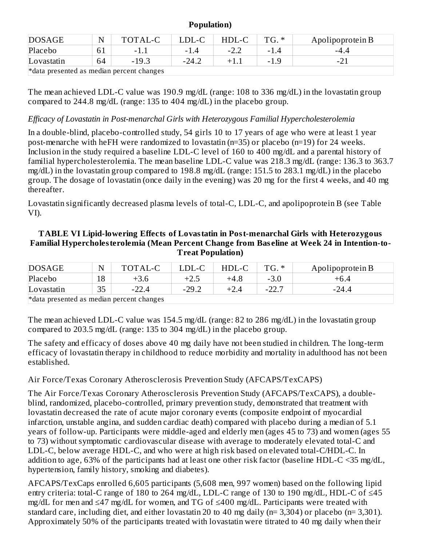|  | Population) |  |
|--|-------------|--|
|  |             |  |

| <b>DOSAGE</b>                             | N  | TOTAL-C | LDL-C   | HDL-C | $T \cap *$ | Apolipoprotein B |
|-------------------------------------------|----|---------|---------|-------|------------|------------------|
| Placebo                                   | 61 |         | -14     | $-2$  | $-1.4$     | $-4.4$           |
| Lovastatin                                | 64 | $-19.3$ | $-24.4$ |       | $-1.9$     | $-21$            |
| *data presented as median percent changes |    |         |         |       |            |                  |

The mean achieved LDL-C value was 190.9 mg/dL (range: 108 to 336 mg/dL) in the lovastatin group compared to 244.8 mg/dL (range: 135 to 404 mg/dL) in the placebo group.

## *Efficacy of Lovastatin in Post-menarchal Girls with Heterozygous Familial Hypercholesterolemia*

In a double-blind, placebo-controlled study, 54 girls 10 to 17 years of age who were at least 1 year post-menarche with heFH were randomized to lovastatin (n=35) or placebo (n=19) for 24 weeks. Inclusion in the study required a baseline LDL-C level of 160 to 400 mg/dL and a parental history of familial hypercholesterolemia. The mean baseline LDL-C value was 218.3 mg/dL (range: 136.3 to 363.7 mg/dL) in the lovastatin group compared to 198.8 mg/dL (range: 151.5 to 283.1 mg/dL) in the placebo group. The dosage of lovastatin (once daily in the evening) was 20 mg for the first 4 weeks, and 40 mg thereafter.

Lovastatin significantly decreased plasma levels of total-C, LDL-C, and apolipoprotein B (see Table VI).

#### **TABLE VI Lipid-lowering Effects of Lovastatin in Post-menarchal Girls with Heterozygous Familial Hypercholesterolemia (Mean Percent Change from Bas eline at Week 24 in Intention-to-Treat Population)**

| <b>DOSAGE</b>                             | N  | TOTAL-C | LDL-C   | HDL-C  | $TG.$ * | Apolipoprotein B |
|-------------------------------------------|----|---------|---------|--------|---------|------------------|
| Placebo                                   | 18 | $+3.6$  | $+2.5$  | $+4.8$ | $-3.0$  | $+6.4$           |
| Lovastatin                                | 35 | $-22.4$ | $-29.2$ | $+2.4$ | $-22.7$ | $-24.4$          |
| *data presented as median percent changes |    |         |         |        |         |                  |

The mean achieved LDL-C value was 154.5 mg/dL (range: 82 to 286 mg/dL) in the lovastatin group compared to 203.5 mg/dL (range: 135 to 304 mg/dL) in the placebo group.

The safety and efficacy of doses above 40 mg daily have not been studied in children. The long-term efficacy of lovastatin therapy in childhood to reduce morbidity and mortality in adulthood has not been established.

## Air Force/Texas Coronary Atherosclerosis Prevention Study (AFCAPS/TexCAPS)

The Air Force/Texas Coronary Atherosclerosis Prevention Study (AFCAPS/TexCAPS), a doubleblind, randomized, placebo-controlled, primary prevention study, demonstrated that treatment with lovastatin decreased the rate of acute major coronary events (composite endpoint of myocardial infarction, unstable angina, and sudden cardiac death) compared with placebo during a median of 5.1 years of follow-up. Participants were middle-aged and elderly men (ages 45 to 73) and women (ages 55 to 73) without symptomatic cardiovascular disease with average to moderately elevated total-C and LDL-C, below average HDL-C, and who were at high risk based on elevated total-C/HDL-C. In addition to age, 63% of the participants had at least one other risk factor (baseline HDL-C <35 mg/dL, hypertension, family history, smoking and diabetes).

AFCAPS/TexCaps enrolled 6,605 participants (5,608 men, 997 women) based on the following lipid entry criteria: total-C range of 180 to 264 mg/dL, LDL-C range of 130 to 190 mg/dL, HDL-C of ≤45 mg/dL for men and ≤47 mg/dL for women, and TG of ≤400 mg/dL. Participants were treated with standard care, including diet, and either lovastatin 20 to 40 mg daily (n= 3,304) or placebo (n= 3,301). Approximately 50% of the participants treated with lovastatin were titrated to 40 mg daily when their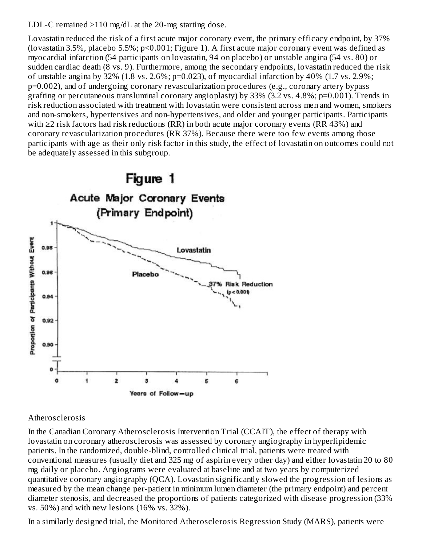LDL-C remained >110 mg/dL at the 20-mg starting dose.

Lovastatin reduced the risk of a first acute major coronary event, the primary efficacy endpoint, by 37% (lovastatin 3.5%, placebo 5.5%; p<0.001; Figure 1). A first acute major coronary event was defined as myocardial infarction (54 participants on lovastatin, 94 on placebo) or unstable angina (54 vs. 80) or sudden cardiac death (8 vs. 9). Furthermore, among the secondary endpoints, lovastatin reduced the risk of unstable angina by 32% (1.8 vs. 2.6%; p=0.023), of myocardial infarction by 40% (1.7 vs. 2.9%; p=0.002), and of undergoing coronary revascularization procedures (e.g., coronary artery bypass grafting or percutaneous transluminal coronary angioplasty) by 33% (3.2 vs. 4.8%; p=0.001). Trends in risk reduction associated with treatment with lovastatin were consistent across men and women, smokers and non-smokers, hypertensives and non-hypertensives, and older and younger participants. Participants with ≥2 risk factors had risk reductions (RR) in both acute major coronary events (RR 43%) and coronary revascularization procedures (RR 37%). Because there were too few events among those participants with age as their only risk factor in this study, the effect of lovastatin on outcomes could not be adequately assessed in this subgroup.



## Atherosclerosis

In the Canadian Coronary Atherosclerosis Intervention Trial (CCAIT), the effect of therapy with lovastatin on coronary atherosclerosis was assessed by coronary angiography in hyperlipidemic patients. In the randomized, double-blind, controlled clinical trial, patients were treated with conventional measures (usually diet and 325 mg of aspirin every other day) and either lovastatin 20 to 80 mg daily or placebo. Angiograms were evaluated at baseline and at two years by computerized quantitative coronary angiography (QCA). Lovastatin significantly slowed the progression of lesions as measured by the mean change per-patient in minimum lumen diameter (the primary endpoint) and percent diameter stenosis, and decreased the proportions of patients categorized with disease progression (33% vs. 50%) and with new lesions (16% vs. 32%).

In a similarly designed trial, the Monitored Atherosclerosis Regression Study (MARS), patients were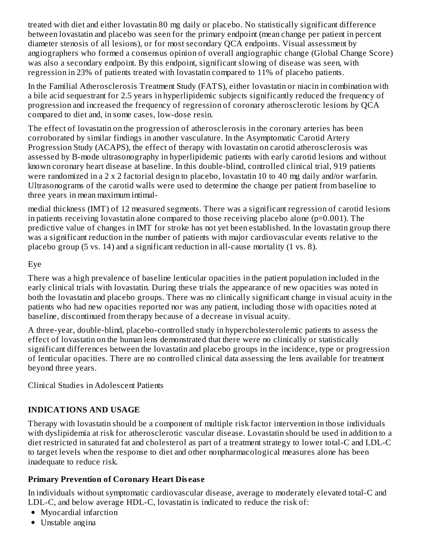treated with diet and either lovastatin 80 mg daily or placebo. No statistically significant difference between lovastatin and placebo was seen for the primary endpoint (mean change per patient in percent diameter stenosis of all lesions), or for most secondary QCA endpoints. Visual assessment by angiographers who formed a consensus opinion of overall angiographic change (Global Change Score) was also a secondary endpoint. By this endpoint, significant slowing of disease was seen, with regression in 23% of patients treated with lovastatin compared to 11% of placebo patients.

In the Familial Atherosclerosis Treatment Study (FATS), either lovastatin or niacin in combination with a bile acid sequestrant for 2.5 years in hyperlipidemic subjects significantly reduced the frequency of progression and increased the frequency of regression of coronary atherosclerotic lesions by QCA compared to diet and, in some cases, low-dose resin.

The effect of lovastatin on the progression of atherosclerosis in the coronary arteries has been corroborated by similar findings in another vasculature. In the Asymptomatic Carotid Artery Progression Study (ACAPS), the effect of therapy with lovastatin on carotid atherosclerosis was assessed by B-mode ultrasonography in hyperlipidemic patients with early carotid lesions and without known coronary heart disease at baseline. In this double-blind, controlled clinical trial, 919 patients were randomized in a 2 x 2 factorial design to placebo, lovastatin 10 to 40 mg daily and/or warfarin. Ultrasonograms of the carotid walls were used to determine the change per patient from baseline to three years in mean maximum intimal-

medial thickness (IMT) of 12 measured segments. There was a significant regression of carotid lesions in patients receiving lovastatin alone compared to those receiving placebo alone (p=0.001). The predictive value of changes in IMT for stroke has not yet been established. In the lovastatin group there was a significant reduction in the number of patients with major cardiovascular events relative to the placebo group (5 vs. 14) and a significant reduction in all-cause mortality (1 vs. 8).

# Eye

There was a high prevalence of baseline lenticular opacities in the patient population included in the early clinical trials with lovastatin. During these trials the appearance of new opacities was noted in both the lovastatin and placebo groups. There was no clinically significant change in visual acuity in the patients who had new opacities reported nor was any patient, including those with opacities noted at baseline, discontinued from therapy because of a decrease in visual acuity.

A three-year, double-blind, placebo-controlled study in hypercholesterolemic patients to assess the effect of lovastatin on the human lens demonstrated that there were no clinically or statistically significant differences between the lovastatin and placebo groups in the incidence, type or progression of lenticular opacities. There are no controlled clinical data assessing the lens available for treatment beyond three years.

Clinical Studies in Adolescent Patients

# **INDICATIONS AND USAGE**

Therapy with lovastatin should be a component of multiple risk factor intervention in those individuals with dyslipidemia at risk for atherosclerotic vascular disease. Lovastatin should be used in addition to a diet restricted in saturated fat and cholesterol as part of a treatment strategy to lower total-C and LDL-C to target levels when the response to diet and other nonpharmacological measures alone has been inadequate to reduce risk.

# **Primary Prevention of Coronary Heart Dis eas e**

In individuals without symptomatic cardiovascular disease, average to moderately elevated total-C and LDL-C, and below average HDL-C, lovastatin is indicated to reduce the risk of:

- Myocardial infarction
- Unstable angina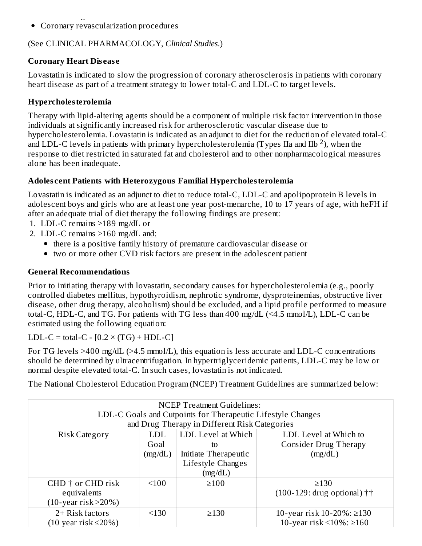Unstable angina Coronary revascularization procedures

#### (See CLINICAL PHARMACOLOGY, *Clinical Studies*.)

## **Coronary Heart Dis eas e**

Lovastatin is indicated to slow the progression of coronary atherosclerosis in patients with coronary heart disease as part of a treatment strategy to lower total-C and LDL-C to target levels.

## **Hypercholesterolemia**

Therapy with lipid-altering agents should be a component of multiple risk factor intervention in those individuals at significantly increased risk for artherosclerotic vascular disease due to hypercholesterolemia. Lovastatin is indicated as an adjunct to diet for the reduction of elevated total-C and LDL-C levels in patients with primary hypercholesterolemia (Types IIa and IIb<sup>2</sup>), when the response to diet restricted in saturated fat and cholesterol and to other nonpharmacological measures alone has been inadequate.

#### **Adoles cent Patients with Heterozygous Familial Hypercholesterolemia**

Lovastatin is indicated as an adjunct to diet to reduce total-C, LDL-C and apolipoprotein B levels in adolescent boys and girls who are at least one year post-menarche, 10 to 17 years of age, with heFH if after an adequate trial of diet therapy the following findings are present:

- 1. LDL-C remains >189 mg/dL or
- 2. LDL-C remains >160 mg/dL and:
	- there is a positive family history of premature cardiovascular disease or
	- two or more other CVD risk factors are present in the adolescent patient

#### **General Recommendations**

Prior to initiating therapy with lovastatin, secondary causes for hypercholesterolemia (e.g., poorly controlled diabetes mellitus, hypothyroidism, nephrotic syndrome, dysproteinemias, obstructive liver disease, other drug therapy, alcoholism) should be excluded, and a lipid profile performed to measure total-C, HDL-C, and TG. For patients with TG less than 400 mg/dL (<4.5 mmol/L), LDL-C can be estimated using the following equation:

LDL-C = total-C -  $[0.2 \times (TG) + HDL-C]$ 

For TG levels >400 mg/dL (>4.5 mmol/L), this equation is less accurate and LDL-C concentrations should be determined by ultracentrifugation. In hypertriglyceridemic patients, LDL-C may be low or normal despite elevated total-C. In such cases, lovastatin is not indicated.

The National Cholesterol Education Program (NCEP) Treatment Guidelines are summarized below:

| <b>NCEP Treatment Guidelines:</b><br>LDL-C Goals and Cutpoints for Therapeutic Lifestyle Changes |                                                                                                            |                          |                               |  |  |
|--------------------------------------------------------------------------------------------------|------------------------------------------------------------------------------------------------------------|--------------------------|-------------------------------|--|--|
| Risk Category                                                                                    | and Drug Therapy in Different Risk Categories<br>LDL Level at Which<br>LDL Level at Which to<br><b>LDL</b> |                          |                               |  |  |
|                                                                                                  | Goal                                                                                                       | tΟ                       | Consider Drug Therapy         |  |  |
|                                                                                                  | Initiate Therapeutic<br>(mg/dL)                                                                            |                          |                               |  |  |
|                                                                                                  |                                                                                                            | <b>Lifestyle Changes</b> |                               |  |  |
|                                                                                                  |                                                                                                            | (mg/dL)                  |                               |  |  |
| $CHD$ † or $CHD$ risk                                                                            | < 100                                                                                                      | $\geq 100$               | $\geq$ 130                    |  |  |
| equivalents                                                                                      |                                                                                                            |                          | $(100-129: drug optional)$ †† |  |  |
| $(10$ -year risk >20%)                                                                           |                                                                                                            |                          |                               |  |  |
| 2+ Risk factors                                                                                  | <130                                                                                                       | $\geq$ 130               | 10-year risk 10-20%: ≥130     |  |  |
| $(10 \text{ year} \text{ risk} \leq 20\%)$                                                       |                                                                                                            |                          | 10-year risk <10%: $\geq$ 160 |  |  |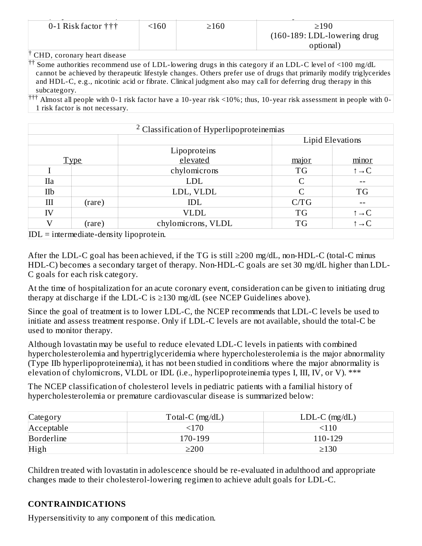| $0-1$ Risk factor $\dagger\dagger\dagger$ | $\leq 160$ | ≥160 | ≥190                          |
|-------------------------------------------|------------|------|-------------------------------|
|                                           |            |      | $(160-189:LDL-lowering drug)$ |
|                                           |            |      | optional)                     |

CHD, coronary heart disease †

Some authorities recommend use of LDL-lowering drugs in this category if an LDL-C level of <100 mg/dL cannot be achieved by therapeutic lifestyle changes. Others prefer use of drugs that primarily modify triglycerides and HDL-C, e.g., nicotinic acid or fibrate. Clinical judgment also may call for deferring drug therapy in this subcategory. ††

 $^{\dagger\dagger\dagger}$  Almost all people with 0-1 risk factor have a 10-year risk <10%; thus, 10-year risk assessment in people with 0-1 risk factor is not necessary.

| <sup>2</sup> Classification of Hyperlipoproteinemias |             |                         |           |                          |  |  |
|------------------------------------------------------|-------------|-------------------------|-----------|--------------------------|--|--|
|                                                      |             | <b>Lipid Elevations</b> |           |                          |  |  |
|                                                      |             | Lipoproteins            |           |                          |  |  |
|                                                      | <u>Type</u> | elevated                | major     | minor                    |  |  |
|                                                      |             | chylomicrons            | <b>TG</b> | $\uparrow \rightarrow C$ |  |  |
| <b>IIa</b>                                           |             | <b>LDL</b>              | C         | $- -$                    |  |  |
| IIb                                                  |             | LDL, VLDL               | $\subset$ | <b>TG</b>                |  |  |
| III                                                  | (rare)      | IDL                     | C/TG      | $- -$                    |  |  |
| IV                                                   |             | <b>VLDL</b>             | <b>TG</b> | $\uparrow \rightarrow C$ |  |  |
|                                                      | (rare)      | chylomicrons, VLDL      | <b>TG</b> | $\uparrow \rightarrow C$ |  |  |
| $IDL = intermediate-density lipoprotein.$            |             |                         |           |                          |  |  |

After the LDL-C goal has been achieved, if the TG is still  $\geq$ 200 mg/dL, non-HDL-C (total-C minus HDL-C) becomes a secondary target of therapy. Non-HDL-C goals are set 30 mg/dL higher than LDL-C goals for each risk category.

At the time of hospitalization for an acute coronary event, consideration can be given to initiating drug therapy at discharge if the LDL-C is  $\geq$ 130 mg/dL (see NCEP Guidelines above).

Since the goal of treatment is to lower LDL-C, the NCEP recommends that LDL-C levels be used to initiate and assess treatment response. Only if LDL-C levels are not available, should the total-C be used to monitor therapy.

Although lovastatin may be useful to reduce elevated LDL-C levels in patients with combined hypercholesterolemia and hypertriglyceridemia where hypercholesterolemia is the major abnormality (Type IIb hyperlipoproteinemia), it has not been studied in conditions where the major abnormality is elevation of chylomicrons, VLDL or IDL (i.e., hyperlipoproteinemia types I, III, IV, or V). \*\*\*

The NCEP classification of cholesterol levels in pediatric patients with a familial history of hypercholesterolemia or premature cardiovascular disease is summarized below:

| Category          | Total-C $(mg/dL)$ | $LDL-C$ (mg/dL) |
|-------------------|-------------------|-----------------|
| Acceptable        | $\leq$ 170        | <110            |
| <b>Borderline</b> | 170-199           | 110-129         |
| High              | $\geq$ 200        | $\geq$ 130      |

Children treated with lovastatin in adolescence should be re-evaluated in adulthood and appropriate changes made to their cholesterol-lowering regimen to achieve adult goals for LDL-C.

## **CONTRAINDICATIONS**

Hypersensitivity to any component of this medication.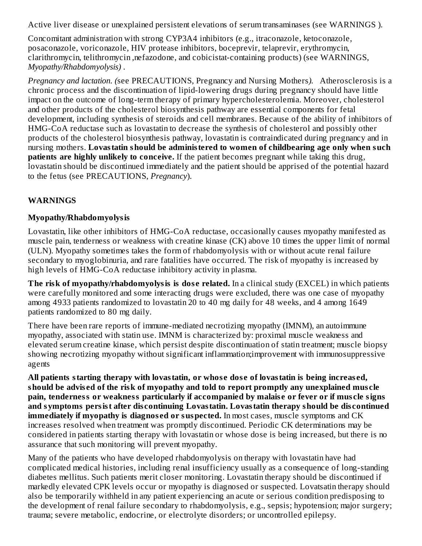Active liver disease or unexplained persistent elevations of serum transaminases (see WARNINGS ).

Concomitant administration with strong CYP3A4 inhibitors (e.g., itraconazole, ketoconazole, posaconazole, voriconazole, HIV protease inhibitors, boceprevir, telaprevir, erythromycin, clarithromycin, telithromycin ,nefazodone, and cobicistat-containing products) (see WARNINGS, *Myopathy/Rhabdomyolysis)* .

*Pregnancy and lactation. (*see PRECAUTIONS, Pregnancy and Nursing Mothers*).* Atherosclerosis is a chronic process and the discontinuation of lipid-lowering drugs during pregnancy should have little impact on the outcome of long-term therapy of primary hypercholesterolemia. Moreover, cholesterol and other products of the cholesterol biosynthesis pathway are essential components for fetal development, including synthesis of steroids and cell membranes. Because of the ability of inhibitors of HMG-CoA reductase such as lovastatin to decrease the synthesis of cholesterol and possibly other products of the cholesterol biosynthesis pathway, lovastatin is contraindicated during pregnancy and in nursing mothers. **Lovastatin should be administered to women of childbearing age only when such patients are highly unlikely to conceive.** If the patient becomes pregnant while taking this drug, lovastatin should be discontinued immediately and the patient should be apprised of the potential hazard to the fetus (see PRECAUTIONS, *Pregnancy*).

## **WARNINGS**

## **Myopathy/Rhabdomyolysis**

Lovastatin, like other inhibitors of HMG-CoA reductase, occasionally causes myopathy manifested as muscle pain, tenderness or weakness with creatine kinase (CK) above 10 times the upper limit of normal (ULN). Myopathy sometimes takes the form of rhabdomyolysis with or without acute renal failure secondary to myoglobinuria, and rare fatalities have occurred. The risk of myopathy is increased by high levels of HMG-CoA reductase inhibitory activity in plasma.

**The risk of myopathy/rhabdomyolysis is dos e related.** In a clinical study (EXCEL) in which patients were carefully monitored and some interacting drugs were excluded, there was one case of myopathy among 4933 patients randomized to lovastatin 20 to 40 mg daily for 48 weeks, and 4 among 1649 patients randomized to 80 mg daily.

There have been rare reports of immune-mediated necrotizing myopathy (IMNM), an autoimmune myopathy, associated with statin use. IMNM is characterized by: proximal muscle weakness and elevated serum creatine kinase, which persist despite discontinuation of statin treatment; muscle biopsy showing necrotizing myopathy without significant inflammation;improvement with immunosuppressive agents

**All patients starting therapy with lovastatin, or whos e dos e of lovastatin is being increas ed, should be advis ed of the risk of myopathy and told to report promptly any unexplained mus cle pain, tenderness or weakness particularly if accompanied by malais e or fever or if mus cle signs and symptoms persist after dis continuing Lovastatin. Lovastatin therapy should be dis continued immediately if myopathy is diagnos ed or suspected.** In most cases, muscle symptoms and CK increases resolved when treatment was promptly discontinued. Periodic CK determinations may be considered in patients starting therapy with lovastatin or whose dose is being increased, but there is no assurance that such monitoring will prevent myopathy.

Many of the patients who have developed rhabdomyolysis on therapy with lovastatin have had complicated medical histories, including renal insufficiency usually as a consequence of long-standing diabetes mellitus. Such patients merit closer monitoring. Lovastatin therapy should be discontinued if markedly elevated CPK levels occur or myopathy is diagnosed or suspected. Lovatsatin therapy should also be temporarily withheld in any patient experiencing an acute or serious condition predisposing to the development of renal failure secondary to rhabdomyolysis, e.g., sepsis; hypotension; major surgery; trauma; severe metabolic, endocrine, or electrolyte disorders; or uncontrolled epilepsy.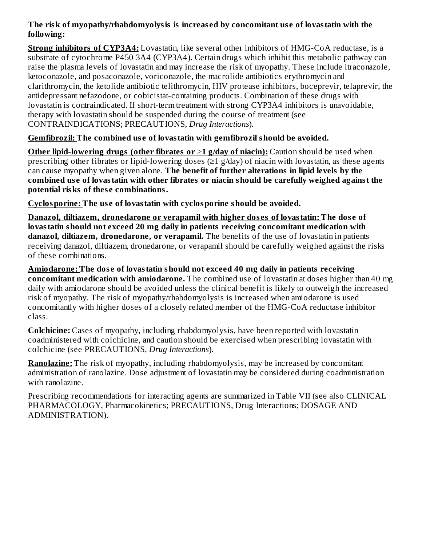#### **The risk of myopathy/rhabdomyolysis is increas ed by concomitant us e of lovastatin with the following:**

**Strong inhibitors of CYP3A4:** Lovastatin, like several other inhibitors of HMG-CoA reductase, is a substrate of cytochrome P450 3A4 (CYP3A4). Certain drugs which inhibit this metabolic pathway can raise the plasma levels of lovastatin and may increase the risk of myopathy. These include itraconazole, ketoconazole, and posaconazole, voriconazole, the macrolide antibiotics erythromycin and clarithromycin, the ketolide antibiotic telithromycin, HIV protease inhibitors, boceprevir, telaprevir, the antidepressant nefazodone, or cobicistat-containing products. Combination of these drugs with lovastatin is contraindicated. If short-term treatment with strong CYP3A4 inhibitors is unavoidable, therapy with lovastatin should be suspended during the course of treatment (see CONTRAINDICATIONS; PRECAUTIONS, *Drug Interactions*).

#### **Gemfibrozil: The combined us e of lovastatin with gemfibrozil should be avoided.**

**Other lipid-lowering drugs (other fibrates or** ≥**1 g/day of niacin):** Caution should be used when prescribing other fibrates or lipid-lowering doses  $(\geq 1 \text{ g/day})$  of niacin with lovastatin, as these agents can cause myopathy when given alone. **The benefit of further alterations in lipid levels by the combined us e of lovastatin with other fibrates or niacin should be carefully weighed against the potential risks of thes e combinations.**

**Cyclosporine: The us e of lovastatin with cyclosporine should be avoided.**

**Danazol, diltiazem, dronedarone or verapamil with higher dos es of lovastatin: The dos e of lovastatin should not exceed 20 mg daily in patients receiving concomitant medication with danazol, diltiazem, dronedarone, or verapamil.** The benefits of the use of lovastatin in patients receiving danazol, diltiazem, dronedarone, or verapamil should be carefully weighed against the risks of these combinations.

**Amiodarone: The dos e of lovastatin should not exceed 40 mg daily in patients receiving concomitant medication with amiodarone.** The combined use of lovastatin at doses higher than 40 mg daily with amiodarone should be avoided unless the clinical benefit is likely to outweigh the increased risk of myopathy. The risk of myopathy/rhabdomyolysis is increased when amiodarone is used concomitantly with higher doses of a closely related member of the HMG-CoA reductase inhibitor class.

**Colchicine:** Cases of myopathy, including rhabdomyolysis, have been reported with lovastatin coadministered with colchicine, and caution should be exercised when prescribing lovastatin with colchicine (see PRECAUTIONS, *Drug Interactions*).

**Ranolazine:** The risk of myopathy, including rhabdomyolysis, may be increased by concomitant administration of ranolazine. Dose adjustment of lovastatin may be considered during coadministration with ranolazine.

Prescribing recommendations for interacting agents are summarized in Table VII (see also CLINICAL PHARMACOLOGY, Pharmacokinetics; PRECAUTIONS, Drug Interactions; DOSAGE AND ADMINISTRATION).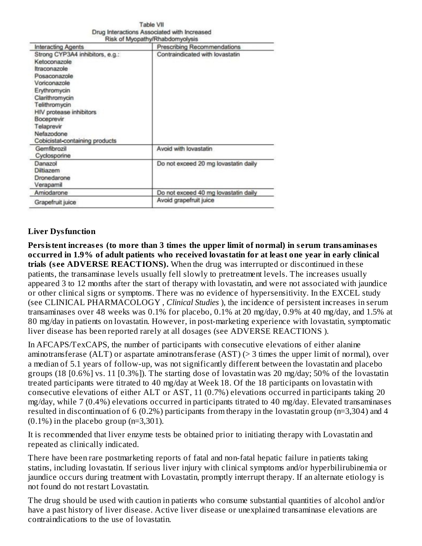|                                                                                                                                                                                                                                                           | Drug Interactions Associated with Increased<br>Risk of Myopathy/Rhabdomyolysis |
|-----------------------------------------------------------------------------------------------------------------------------------------------------------------------------------------------------------------------------------------------------------|--------------------------------------------------------------------------------|
| <b>Interacting Agents</b>                                                                                                                                                                                                                                 | Prescribing Recommendations                                                    |
| Strong CYP3A4 inhibitors, e.g.:<br>Ketoconazole<br>Itraconazole<br>Posaconazole<br>Voriconazole<br>Erythromycin<br>Clarithromycin<br>Telithromycin<br>HIV protease inhibitors<br>Boceprevir<br>Telaprevir<br>Nefazodone<br>Cobicistat-containing products | Contraindicated with lovastatin                                                |
| Gemfibrozil<br>Cyclosporine                                                                                                                                                                                                                               | Avoid with lovastatin                                                          |
| Danazol<br>Diltiazem<br>Dronedarone<br>Verapamil                                                                                                                                                                                                          | Do not exceed 20 mg lovastatin daily                                           |
| Amiodarone                                                                                                                                                                                                                                                | Do not exceed 40 mg lovastatin daily                                           |
| Grapefruit juice                                                                                                                                                                                                                                          | Avoid grapefruit juice                                                         |

# Table VII

#### **Liver Dysfunction**

**Persistent increas es (to more than 3 times the upper limit of normal) in s erum transaminas es occurred in 1.9% of adult patients who received lovastatin for at least one year in early clinical trials (s ee ADVERSE REACTIONS).** When the drug was interrupted or discontinued in these patients, the transaminase levels usually fell slowly to pretreatment levels. The increases usually appeared 3 to 12 months after the start of therapy with lovastatin, and were not associated with jaundice or other clinical signs or symptoms. There was no evidence of hypersensitivity. In the EXCEL study (see CLINICAL PHARMACOLOGY , *Clinical Studies* ), the incidence of persistent increases in serum transaminases over 48 weeks was 0.1% for placebo, 0.1% at 20 mg/day, 0.9% at 40 mg/day, and 1.5% at 80 mg/day in patients on lovastatin. However, in post-marketing experience with lovastatin, symptomatic liver disease has been reported rarely at all dosages (see ADVERSE REACTIONS ).

In AFCAPS/TexCAPS, the number of participants with consecutive elevations of either alanine aminotransferase (ALT) or aspartate aminotransferase (AST) (> 3 times the upper limit of normal), over a median of 5.1 years of follow-up, was not significantly different between the lovastatin and placebo groups (18 [0.6%] vs. 11 [0.3%]). The starting dose of lovastatin was 20 mg/day; 50% of the lovastatin treated participants were titrated to 40 mg/day at Week 18. Of the 18 participants on lovastatin with consecutive elevations of either ALT or AST, 11 (0.7%) elevations occurred in participants taking 20 mg/day, while 7 (0.4%) elevations occurred in participants titrated to 40 mg/day. Elevated transaminases resulted in discontinuation of 6 (0.2%) participants from therapy in the lovastatin group (n=3,304) and 4  $(0.1\%)$  in the placebo group (n=3,301).

It is recommended that liver enzyme tests be obtained prior to initiating therapy with Lovastatin and repeated as clinically indicated.

There have been rare postmarketing reports of fatal and non-fatal hepatic failure in patients taking statins, including lovastatin. If serious liver injury with clinical symptoms and/or hyperbilirubinemia or jaundice occurs during treatment with Lovastatin, promptly interrupt therapy. If an alternate etiology is not found do not restart Lovastatin.

The drug should be used with caution in patients who consume substantial quantities of alcohol and/or have a past history of liver disease. Active liver disease or unexplained transaminase elevations are contraindications to the use of lovastatin.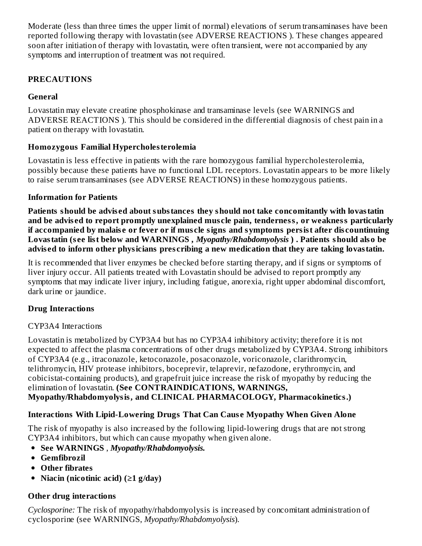Moderate (less than three times the upper limit of normal) elevations of serum transaminases have been reported following therapy with lovastatin (see ADVERSE REACTIONS ). These changes appeared soon after initiation of therapy with lovastatin, were often transient, were not accompanied by any symptoms and interruption of treatment was not required.

## **PRECAUTIONS**

#### **General**

Lovastatin may elevate creatine phosphokinase and transaminase levels (see WARNINGS and ADVERSE REACTIONS ). This should be considered in the differential diagnosis of chest pain in a patient on therapy with lovastatin.

#### **Homozygous Familial Hypercholesterolemia**

Lovastatin is less effective in patients with the rare homozygous familial hypercholesterolemia, possibly because these patients have no functional LDL receptors. Lovastatin appears to be more likely to raise serum transaminases (see ADVERSE REACTIONS) in these homozygous patients.

#### **Information for Patients**

**Patients should be advis ed about substances they should not take concomitantly with lovastatin and be advis ed to report promptly unexplained mus cle pain, tenderness, or weakness particularly if accompanied by malais e or fever or if mus cle signs and symptoms persist after dis countinuing Lovastatin (s ee list below and WARNINGS ,** *Myopathy/Rhabdomyolysis* **) . Patients should also be advis ed to inform other physicians pres cribing a new medication that they are taking lovastatin.**

It is recommended that liver enzymes be checked before starting therapy, and if signs or symptoms of liver injury occur. All patients treated with Lovastatin should be advised to report promptly any symptoms that may indicate liver injury, including fatigue, anorexia, right upper abdominal discomfort, dark urine or jaundice.

## **Drug Interactions**

#### CYP3A4 Interactions

Lovastatin is metabolized by CYP3A4 but has no CYP3A4 inhibitory activity; therefore it is not expected to affect the plasma concentrations of other drugs metabolized by CYP3A4. Strong inhibitors of CYP3A4 (e.g., itraconazole, ketoconazole, posaconazole, voriconazole, clarithromycin, telithromycin, HIV protease inhibitors, boceprevir, telaprevir, nefazodone, erythromycin, and cobicistat-containing products), and grapefruit juice increase the risk of myopathy by reducing the elimination of lovastatin. **(See CONTRAINDICATIONS, WARNINGS, Myopathy/Rhabdomyolysis, and CLINICAL PHARMACOLOGY, Pharmacokinetics.)**

## **Interactions With Lipid-Lowering Drugs That Can Caus e Myopathy When Given Alone**

The risk of myopathy is also increased by the following lipid-lowering drugs that are not strong CYP3A4 inhibitors, but which can cause myopathy when given alone.

- **See WARNINGS** , *Myopathy/Rhabdomyolysis.*
- **Gemfibrozil**
- **Other fibrates**
- **Niacin (nicotinic acid) (≥1 g/day)**

#### **Other drug interactions**

*Cyclosporine:* The risk of myopathy/rhabdomyolysis is increased by concomitant administration of cyclosporine (see WARNINGS, *Myopathy/Rhabdomyolysis*).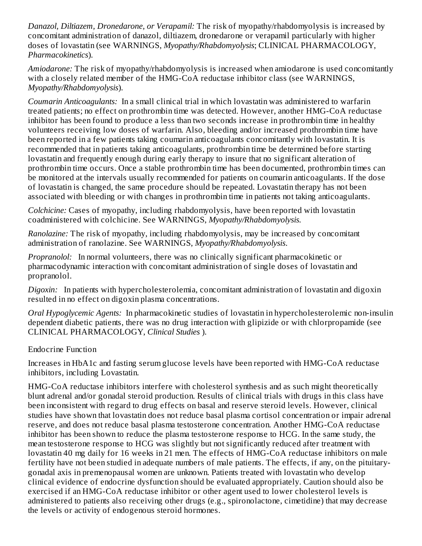*Danazol, Diltiazem, Dronedarone, or Verapamil:* The risk of myopathy/rhabdomyolysis is increased by concomitant administration of danazol, diltiazem, dronedarone or verapamil particularly with higher doses of lovastatin (see WARNINGS, *Myopathy/Rhabdomyolysis*; CLINICAL PHARMACOLOGY, *Pharmacokinetics*).

*Amiodarone:* The risk of myopathy/rhabdomyolysis is increased when amiodarone is used concomitantly with a closely related member of the HMG-CoA reductase inhibitor class (see WARNINGS, *Myopathy/Rhabdomyolysis*).

*Coumarin Anticoagulants:* In a small clinical trial in which lovastatin was administered to warfarin treated patients; no effect on prothrombin time was detected. However, another HMG-CoA reductase inhibitor has been found to produce a less than two seconds increase in prothrombin time in healthy volunteers receiving low doses of warfarin. Also, bleeding and/or increased prothrombin time have been reported in a few patients taking coumarin anticoagulants concomitantly with lovastatin. It is recommended that in patients taking anticoagulants, prothrombin time be determined before starting lovastatin and frequently enough during early therapy to insure that no significant alteration of prothrombin time occurs. Once a stable prothrombin time has been documented, prothrombin times can be monitored at the intervals usually recommended for patients on coumarin anticoagulants. If the dose of lovastatin is changed, the same procedure should be repeated. Lovastatin therapy has not been associated with bleeding or with changes in prothrombin time in patients not taking anticoagulants.

*Colchicine:* Cases of myopathy, including rhabdomyolysis, have been reported with lovastatin coadministered with colchicine. See WARNINGS, *Myopathy/Rhabdomyolysis.*

*Ranolazine:* The risk of myopathy, including rhabdomyolysis, may be increased by concomitant administration of ranolazine. See WARNINGS, *Myopathy/Rhabdomyolysis*.

*Propranolol:* In normal volunteers, there was no clinically significant pharmacokinetic or pharmacodynamic interaction with concomitant administration of single doses of lovastatin and propranolol.

*Digoxin:* In patients with hypercholesterolemia, concomitant administration of lovastatin and digoxin resulted in no effect on digoxin plasma concentrations.

*Oral Hypoglycemic Agents:* In pharmacokinetic studies of lovastatin in hypercholesterolemic non-insulin dependent diabetic patients, there was no drug interaction with glipizide or with chlorpropamide (see CLINICAL PHARMACOLOGY, *Clinical Studies* ).

#### Endocrine Function

Increases in HbA1c and fasting serum glucose levels have been reported with HMG-CoA reductase inhibitors, including Lovastatin.

HMG-CoA reductase inhibitors interfere with cholesterol synthesis and as such might theoretically blunt adrenal and/or gonadal steroid production. Results of clinical trials with drugs in this class have been inconsistent with regard to drug effects on basal and reserve steroid levels. However, clinical studies have shown that lovastatin does not reduce basal plasma cortisol concentration or impair adrenal reserve, and does not reduce basal plasma testosterone concentration. Another HMG-CoA reductase inhibitor has been shown to reduce the plasma testosterone response to HCG. In the same study, the mean testosterone response to HCG was slightly but not significantly reduced after treatment with lovastatin 40 mg daily for 16 weeks in 21 men. The effects of HMG-CoA reductase inhibitors on male fertility have not been studied in adequate numbers of male patients. The effects, if any, on the pituitarygonadal axis in premenopausal women are unknown. Patients treated with lovastatin who develop clinical evidence of endocrine dysfunction should be evaluated appropriately. Caution should also be exercised if an HMG-CoA reductase inhibitor or other agent used to lower cholesterol levels is administered to patients also receiving other drugs (e.g., spironolactone, cimetidine) that may decrease the levels or activity of endogenous steroid hormones.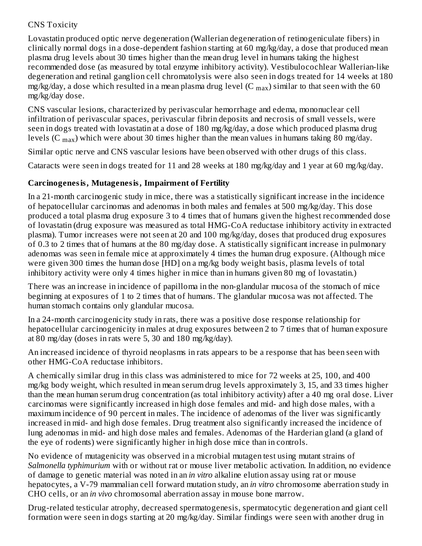#### CNS Toxicity

Lovastatin produced optic nerve degeneration (Wallerian degeneration of retinogeniculate fibers) in clinically normal dogs in a dose-dependent fashion starting at 60 mg/kg/day, a dose that produced mean plasma drug levels about 30 times higher than the mean drug level in humans taking the highest recommended dose (as measured by total enzyme inhibitory activity). Vestibulocochlear Wallerian-like degeneration and retinal ganglion cell chromatolysis were also seen in dogs treated for 14 weeks at 180 mg/kg/day, a dose which resulted in a mean plasma drug level (C  $_{\rm max}$ ) similar to that seen with the 60 mg/kg/day dose.

CNS vascular lesions, characterized by perivascular hemorrhage and edema, mononuclear cell infiltration of perivascular spaces, perivascular fibrin deposits and necrosis of small vessels, were seen in dogs treated with lovastatin at a dose of 180 mg/kg/day, a dose which produced plasma drug levels (C  $_{\rm max}$ ) which were about 30 times higher than the mean values in humans taking 80 mg/day.

Similar optic nerve and CNS vascular lesions have been observed with other drugs of this class.

Cataracts were seen in dogs treated for 11 and 28 weeks at 180 mg/kg/day and 1 year at 60 mg/kg/day.

## **Carcinogenesis, Mutagenesis, Impairment of Fertility**

In a 21-month carcinogenic study in mice, there was a statistically significant increase in the incidence of hepatocellular carcinomas and adenomas in both males and females at 500 mg/kg/day. This dose produced a total plasma drug exposure 3 to 4 times that of humans given the highest recommended dose of lovastatin (drug exposure was measured as total HMG-CoA reductase inhibitory activity in extracted plasma). Tumor increases were not seen at 20 and 100 mg/kg/day, doses that produced drug exposures of 0.3 to 2 times that of humans at the 80 mg/day dose. A statistically significant increase in pulmonary adenomas was seen in female mice at approximately 4 times the human drug exposure. (Although mice were given 300 times the human dose [HD] on a mg/kg body weight basis, plasma levels of total inhibitory activity were only 4 times higher in mice than in humans given 80 mg of lovastatin.)

There was an increase in incidence of papilloma in the non-glandular mucosa of the stomach of mice beginning at exposures of 1 to 2 times that of humans. The glandular mucosa was not affected. The human stomach contains only glandular mucosa.

In a 24-month carcinogenicity study in rats, there was a positive dose response relationship for hepatocellular carcinogenicity in males at drug exposures between 2 to 7 times that of human exposure at 80 mg/day (doses in rats were 5, 30 and 180 mg/kg/day).

An increased incidence of thyroid neoplasms in rats appears to be a response that has been seen with other HMG-CoA reductase inhibitors.

A chemically similar drug in this class was administered to mice for 72 weeks at 25, 100, and 400 mg/kg body weight, which resulted in mean serum drug levels approximately 3, 15, and 33 times higher than the mean human serum drug concentration (as total inhibitory activity) after a 40 mg oral dose. Liver carcinomas were significantly increased in high dose females and mid- and high dose males, with a maximum incidence of 90 percent in males. The incidence of adenomas of the liver was significantly increased in mid- and high dose females. Drug treatment also significantly increased the incidence of lung adenomas in mid- and high dose males and females. Adenomas of the Harderian gland (a gland of the eye of rodents) were significantly higher in high dose mice than in controls.

No evidence of mutagenicity was observed in a microbial mutagen test using mutant strains of *Salmonella typhimurium* with or without rat or mouse liver metabolic activation. In addition, no evidence of damage to genetic material was noted in an *in vitro* alkaline elution assay using rat or mouse hepatocytes, a V-79 mammalian cell forward mutation study, an *in vitro* chromosome aberration study in CHO cells, or an *in vivo* chromosomal aberration assay in mouse bone marrow.

Drug-related testicular atrophy, decreased spermatogenesis, spermatocytic degeneration and giant cell formation were seen in dogs starting at 20 mg/kg/day. Similar findings were seen with another drug in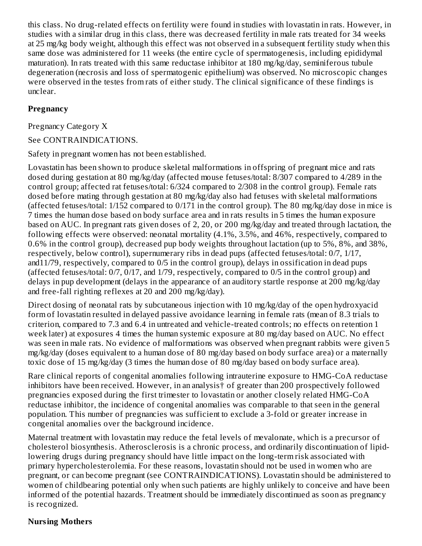this class. No drug-related effects on fertility were found in studies with lovastatin in rats. However, in studies with a similar drug in this class, there was decreased fertility in male rats treated for 34 weeks at 25 mg/kg body weight, although this effect was not observed in a subsequent fertility study when this same dose was administered for 11 weeks (the entire cycle of spermatogenesis, including epididymal maturation). In rats treated with this same reductase inhibitor at 180 mg/kg/day, seminiferous tubule degeneration (necrosis and loss of spermatogenic epithelium) was observed. No microscopic changes were observed in the testes from rats of either study. The clinical significance of these findings is unclear.

## **Pregnancy**

Pregnancy Category X

#### See CONTRAINDICATIONS.

Safety in pregnant women has not been established.

Lovastatin has been shown to produce skeletal malformations in offspring of pregnant mice and rats dosed during gestation at 80 mg/kg/day (affected mouse fetuses/total: 8/307 compared to 4/289 in the control group; affected rat fetuses/total: 6/324 compared to 2/308 in the control group). Female rats dosed before mating through gestation at 80 mg/kg/day also had fetuses with skeletal malformations (affected fetuses/total: 1/152 compared to 0/171 in the control group). The 80 mg/kg/day dose in mice is 7 times the human dose based on body surface area and in rats results in 5 times the human exposure based on AUC. In pregnant rats given doses of 2, 20, or 200 mg/kg/day and treated through lactation, the following effects were observed: neonatal mortality (4.1%, 3.5%, and 46%, respectively, compared to 0.6% in the control group), decreased pup body weights throughout lactation (up to 5%, 8%, and 38%, respectively, below control), supernumerary ribs in dead pups (affected fetuses/total: 0/7, 1/17, and11/79, respectively, compared to 0/5 in the control group), delays in ossification in dead pups (affected fetuses/total: 0/7, 0/17, and 1/79, respectively, compared to 0/5 in the control group) and delays in pup development (delays in the appearance of an auditory startle response at 200 mg/kg/day and free-fall righting reflexes at 20 and 200 mg/kg/day).

Direct dosing of neonatal rats by subcutaneous injection with 10 mg/kg/day of the open hydroxyacid form of lovastatin resulted in delayed passive avoidance learning in female rats (mean of 8.3 trials to criterion, compared to 7.3 and 6.4 in untreated and vehicle-treated controls; no effects on retention 1 week later) at exposures 4 times the human systemic exposure at 80 mg/day based on AUC. No effect was seen in male rats. No evidence of malformations was observed when pregnant rabbits were given 5 mg/kg/day (doses equivalent to a human dose of 80 mg/day based on body surface area) or a maternally toxic dose of 15 mg/kg/day (3 times the human dose of 80 mg/day based on body surface area).

Rare clinical reports of congenital anomalies following intrauterine exposure to HMG-CoA reductase inhibitors have been received. However, in an analysis† of greater than 200 prospectively followed pregnancies exposed during the first trimester to lovastatin or another closely related HMG-CoA reductase inhibitor, the incidence of congenital anomalies was comparable to that seen in the general population. This number of pregnancies was sufficient to exclude a 3-fold or greater increase in congenital anomalies over the background incidence.

Maternal treatment with lovastatin may reduce the fetal levels of mevalonate, which is a precursor of cholesterol biosynthesis. Atherosclerosis is a chronic process, and ordinarily discontinuation of lipidlowering drugs during pregnancy should have little impact on the long-term risk associated with primary hypercholesterolemia. For these reasons, lovastatin should not be used in women who are pregnant, or can become pregnant (see CONTRAINDICATIONS). Lovastatin should be administered to women of childbearing potential only when such patients are highly unlikely to conceive and have been informed of the potential hazards. Treatment should be immediately discontinued as soon as pregnancy is recognized.

#### **Nursing Mothers**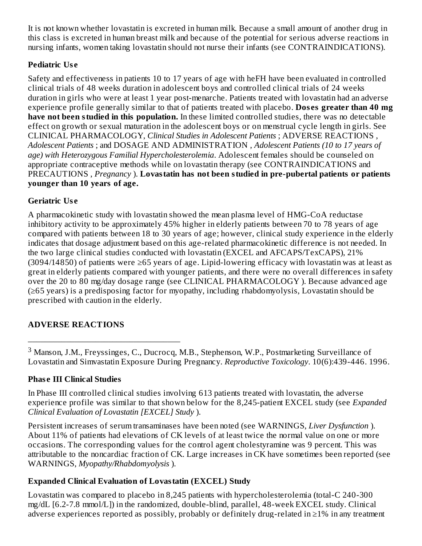It is not known whether lovastatin is excreted in human milk. Because a small amount of another drug in this class is excreted in human breast milk and because of the potential for serious adverse reactions in nursing infants, women taking lovastatin should not nurse their infants (see CONTRAINDICATIONS).

# **Pediatric Us e**

Safety and effectiveness in patients 10 to 17 years of age with heFH have been evaluated in controlled clinical trials of 48 weeks duration in adolescent boys and controlled clinical trials of 24 weeks duration in girls who were at least 1 year post-menarche. Patients treated with lovastatin had an adverse experience profile generally similar to that of patients treated with placebo. **Dos es greater than 40 mg have not been studied in this population.** In these limited controlled studies, there was no detectable effect on growth or sexual maturation in the adolescent boys or on menstrual cycle length in girls. See CLINICAL PHARMACOLOGY, *Clinical Studies in Adolescent Patients* ; ADVERSE REACTIONS , *Adolescent Patients* ; and DOSAGE AND ADMINISTRATION , *Adolescent Patients (10 to 17 years of age) with Heterozygous Familial Hypercholesterolemia*. Adolescent females should be counseled on appropriate contraceptive methods while on lovastatin therapy (see CONTRAINDICATIONS and PRECAUTIONS , *Pregnancy* ). **Lovastatin has not been studied in pre-pubertal patients or patients younger than 10 years of age.**

# **Geriatric Us e**

A pharmacokinetic study with lovastatin showed the mean plasma level of HMG-CoA reductase inhibitory activity to be approximately 45% higher in elderly patients between 70 to 78 years of age compared with patients between 18 to 30 years of age; however, clinical study experience in the elderly indicates that dosage adjustment based on this age-related pharmacokinetic difference is not needed. In the two large clinical studies conducted with lovastatin (EXCEL and AFCAPS/TexCAPS), 21% (3094/14850) of patients were ≥65 years of age. Lipid-lowering efficacy with lovastatin was at least as great in elderly patients compared with younger patients, and there were no overall differences in safety over the 20 to 80 mg/day dosage range (see CLINICAL PHARMACOLOGY ). Because advanced age (≥65 years) is a predisposing factor for myopathy, including rhabdomyolysis, Lovastatin should be prescribed with caution in the elderly.

# **ADVERSE REACTIONS**

\_\_\_\_\_\_\_\_\_\_\_\_\_\_\_\_\_\_\_\_\_\_\_\_\_\_\_\_\_\_\_\_\_\_\_\_

 $3$  Manson, J.M., Freyssinges, C., Ducrocq, M.B., Stephenson, W.P., Postmarketing Surveillance of Lovastatin and Simvastatin Exposure During Pregnancy. *Reproductive Toxicology*. 10(6):439-446. 1996.

## **Phas e III Clinical Studies**

In Phase III controlled clinical studies involving 613 patients treated with lovastatin, the adverse experience profile was similar to that shown below for the 8,245-patient EXCEL study (see *Expanded Clinical Evaluation of Lovastatin [EXCEL] Study* ).

Persistent increases of serum transaminases have been noted (see WARNINGS, *Liver Dysfunction* ). About 11% of patients had elevations of CK levels of at least twice the normal value on one or more occasions. The corresponding values for the control agent cholestyramine was 9 percent. This was attributable to the noncardiac fraction of CK. Large increases in CK have sometimes been reported (see WARNINGS, *Myopathy/Rhabdomyolysis* ).

# **Expanded Clinical Evaluation of Lovastatin (EXCEL) Study**

Lovastatin was compared to placebo in 8,245 patients with hypercholesterolemia (total-C 240-300 mg/dL [6.2-7.8 mmol/L]) in the randomized, double-blind, parallel, 48-week EXCEL study. Clinical adverse experiences reported as possibly, probably or definitely drug-related in ≥1% in any treatment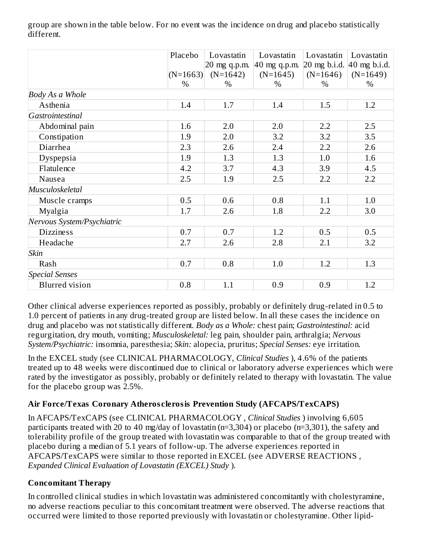group are shown in the table below. For no event was the incidence on drug and placebo statistically different.

|                            | Placebo<br>Lovastatin |            | Lovastatin                            | Lovastatin                   | Lovastatin     |  |
|----------------------------|-----------------------|------------|---------------------------------------|------------------------------|----------------|--|
|                            |                       |            | 20 mg q.p.m. $ 40 \text{ mg q.p.m.} $ |                              | $40$ mg b.i.d. |  |
|                            | $(N=1663)$            | $(N=1642)$ | $(N=1645)$                            | $20$ mg b.i.d.<br>$(N=1646)$ | $(N=1649)$     |  |
|                            | $\%$                  | $\%$       | $\%$                                  | $\%$                         | $\%$           |  |
| Body As a Whole            |                       |            |                                       |                              |                |  |
| Asthenia                   | 1.4                   | 1.7        | 1.4                                   | 1.5                          | 1.2            |  |
| Gastrointestinal           |                       |            |                                       |                              |                |  |
| Abdominal pain             | 1.6                   | 2.0        | 2.0                                   | 2.2                          | 2.5            |  |
| Constipation               | 1.9                   | 2.0        | 3.2                                   | 3.2                          | 3.5            |  |
| Diarrhea                   | 2.3                   | 2.6        | 2.4                                   | 2.2                          | 2.6            |  |
| Dyspepsia                  | 1.9                   | 1.3        | 1.3                                   | 1.0                          | 1.6            |  |
| Flatulence                 | 4.2                   | 3.7        | 4.3                                   | 3.9                          | 4.5            |  |
| Nausea                     | 2.5                   | 1.9        | 2.5                                   | 2.2                          | 2.2            |  |
| Musculoskeletal            |                       |            |                                       |                              |                |  |
| Muscle cramps              | 0.5                   | 0.6        | 0.8                                   | 1.1                          | 1.0            |  |
| Myalgia                    | 1.7                   | 2.6        | 1.8                                   | 2.2                          | 3.0            |  |
| Nervous System/Psychiatric |                       |            |                                       |                              |                |  |
| <b>Dizziness</b>           | 0.7                   | 0.7        | 1.2                                   | 0.5                          | 0.5            |  |
| Headache                   | 2.7                   | 2.6        | 2.8                                   | 2.1                          | 3.2            |  |
| <b>Skin</b>                |                       |            |                                       |                              |                |  |
| Rash                       | 0.7                   | 0.8        | 1.0                                   | 1.2                          | 1.3            |  |
| <b>Special Senses</b>      |                       |            |                                       |                              |                |  |
| <b>Blurred</b> vision      | 0.8                   | 1.1        | 0.9                                   | 0.9                          | 1.2            |  |

Other clinical adverse experiences reported as possibly, probably or definitely drug-related in 0.5 to 1.0 percent of patients in any drug-treated group are listed below. In all these cases the incidence on drug and placebo was not statistically different. *Body as a Whole:* chest pain; *Gastrointestinal:* acid regurgitation, dry mouth, vomiting; *Musculoskeletal:* leg pain, shoulder pain, arthralgia; *Nervous System/Psychiatric:* insomnia, paresthesia; *Skin:* alopecia, pruritus; *Special Senses:* eye irritation.

In the EXCEL study (see CLINICAL PHARMACOLOGY, *Clinical Studies* ), 4.6% of the patients treated up to 48 weeks were discontinued due to clinical or laboratory adverse experiences which were rated by the investigator as possibly, probably or definitely related to therapy with lovastatin. The value for the placebo group was 2.5%.

## **Air Force/Texas Coronary Atheros clerosis Prevention Study (AFCAPS/TexCAPS)**

In AFCAPS/TexCAPS (see CLINICAL PHARMACOLOGY , *Clinical Studies* ) involving 6,605 participants treated with 20 to 40 mg/day of lovastatin (n=3,304) or placebo (n=3,301), the safety and tolerability profile of the group treated with lovastatin was comparable to that of the group treated with placebo during a median of 5.1 years of follow-up. The adverse experiences reported in AFCAPS/TexCAPS were similar to those reported in EXCEL (see ADVERSE REACTIONS , *Expanded Clinical Evaluation of Lovastatin (EXCEL) Study* ).

## **Concomitant Therapy**

In controlled clinical studies in which lovastatin was administered concomitantly with cholestyramine, no adverse reactions peculiar to this concomitant treatment were observed. The adverse reactions that occurred were limited to those reported previously with lovastatin or cholestyramine. Other lipid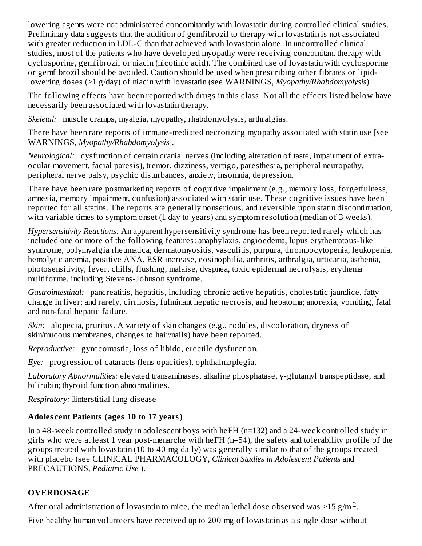lowering agents were not administered concomitantly with lovastatin during controlled clinical studies. Preliminary data suggests that the addition of gemfibrozil to therapy with lovastatin is not associated with greater reduction in LDL-C than that achieved with lovastatin alone. In uncontrolled clinical studies, most of the patients who have developed myopathy were receiving concomitant therapy with cyclosporine, gemfibrozil or niacin (nicotinic acid). The combined use of lovastatin with cyclosporine or gemfibrozil should be avoided. Caution should be used when prescribing other fibrates or lipidlowering doses (≥1 g/day) of niacin with lovastatin (see WARNINGS, *Myopathy/Rhabdomyolysis*).

The following effects have been reported with drugs in this class. Not all the effects listed below have necessarily been associated with lovastatin therapy.

*Skeletal:* muscle cramps, myalgia, myopathy, rhabdomyolysis, arthralgias.

There have been rare reports of immune-mediated necrotizing myopathy associated with statin use [see WARNINGS, *Myopathy/Rhabdomyolysis*].

*Neurological:* dysfunction of certain cranial nerves (including alteration of taste, impairment of extraocular movement, facial paresis), tremor, dizziness, vertigo, paresthesia, peripheral neuropathy, peripheral nerve palsy, psychic disturbances, anxiety, insomnia, depression.

There have been rare postmarketing reports of cognitive impairment (e.g., memory loss, forgetfulness, amnesia, memory impairment, confusion) associated with statin use. These cognitive issues have been reported for all statins. The reports are generally nonserious, and reversible upon statin discontinuation, with variable times to symptom onset (1 day to years) and symptom resolution (median of 3 weeks).

*Hypersensitivity Reactions:* An apparent hypersensitivity syndrome has been reported rarely which has included one or more of the following features: anaphylaxis, angioedema, lupus erythematous-like syndrome, polymyalgia rheumatica, dermatomyositis, vasculitis, purpura, thrombocytopenia, leukopenia, hemolytic anemia, positive ANA, ESR increase, eosinophilia, arthritis, arthralgia, urticaria, asthenia, photosensitivity, fever, chills, flushing, malaise, dyspnea, toxic epidermal necrolysis, erythema multiforme, including Stevens-Johnson syndrome.

*Gastrointestinal:* pancreatitis, hepatitis, including chronic active hepatitis, cholestatic jaundice, fatty change in liver; and rarely, cirrhosis, fulminant hepatic necrosis, and hepatoma; anorexia, vomiting, fatal and non-fatal hepatic failure.

*Skin:* alopecia, pruritus. A variety of skin changes (e.g., nodules, discoloration, dryness of skin/mucous membranes, changes to hair/nails) have been reported.

*Reproductive:* gynecomastia, loss of libido, erectile dysfunction.

*Eye:* progression of cataracts (lens opacities), ophthalmoplegia.

*Laboratory Abnormalities:* elevated transaminases, alkaline phosphatase, γ-glutamyl transpeptidase, and bilirubin; thyroid function abnormalities.

*Respiratory:* linterstitial lung disease

# **Adoles cent Patients (ages 10 to 17 years)**

In a 48-week controlled study in adolescent boys with heFH (n=132) and a 24-week controlled study in girls who were at least 1 year post-menarche with heFH (n=54), the safety and tolerability profile of the groups treated with lovastatin (10 to 40 mg daily) was generally similar to that of the groups treated with placebo (see CLINICAL PHARMACOLOGY, *Clinical Studies in Adolescent Patients* and PRECAUTIONS, *Pediatric Use* ).

# **OVERDOSAGE**

After oral administration of lovastatin to mice, the median lethal dose observed was >15 g/m  $^2$ .

Five healthy human volunteers have received up to 200 mg of lovastatin as a single dose without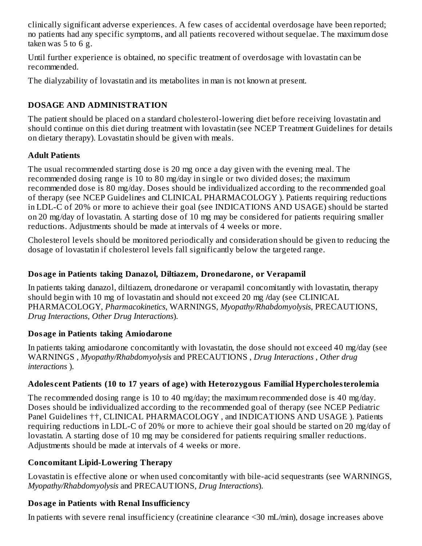clinically significant adverse experiences. A few cases of accidental overdosage have been reported; no patients had any specific symptoms, and all patients recovered without sequelae. The maximum dose taken was 5 to 6 g.

Until further experience is obtained, no specific treatment of overdosage with lovastatin can be recommended.

The dialyzability of lovastatin and its metabolites in man is not known at present.

# **DOSAGE AND ADMINISTRATION**

The patient should be placed on a standard cholesterol-lowering diet before receiving lovastatin and should continue on this diet during treatment with lovastatin (see NCEP Treatment Guidelines for details on dietary therapy). Lovastatin should be given with meals.

# **Adult Patients**

The usual recommended starting dose is 20 mg once a day given with the evening meal. The recommended dosing range is 10 to 80 mg/day in single or two divided doses; the maximum recommended dose is 80 mg/day. Doses should be individualized according to the recommended goal of therapy (see NCEP Guidelines and CLINICAL PHARMACOLOGY ). Patients requiring reductions in LDL-C of 20% or more to achieve their goal (see INDICATIONS AND USAGE) should be started on 20 mg/day of lovastatin. A starting dose of 10 mg may be considered for patients requiring smaller reductions. Adjustments should be made at intervals of 4 weeks or more.

Cholesterol levels should be monitored periodically and consideration should be given to reducing the dosage of lovastatin if cholesterol levels fall significantly below the targeted range.

## **Dosage in Patients taking Danazol, Diltiazem, Dronedarone, or Verapamil**

In patients taking danazol, diltiazem, dronedarone or verapamil concomitantly with lovastatin, therapy should begin with 10 mg of lovastatin and should not exceed 20 mg **/**day (see CLINICAL PHARMACOLOGY, *Pharmacokinetics,* WARNINGS, *Myopathy/Rhabdomyolysis*, PRECAUTIONS, *Drug Interactions, Other Drug Interactions*).

## **Dosage in Patients taking Amiodarone**

In patients taking amiodarone concomitantly with lovastatin, the dose should not exceed 40 mg/day (see WARNINGS , *Myopathy/Rhabdomyolysis* and PRECAUTIONS , *Drug Interactions* , *Other drug interactions* ).

## **Adoles cent Patients (10 to 17 years of age) with Heterozygous Familial Hypercholesterolemia**

The recommended dosing range is 10 to 40 mg/day; the maximum recommended dose is 40 mg/day. Doses should be individualized according to the recommended goal of therapy (see NCEP Pediatric Panel Guidelines ††, CLINICAL PHARMACOLOGY , and INDICATIONS AND USAGE ). Patients requiring reductions in LDL-C of 20% or more to achieve their goal should be started on 20 mg/day of lovastatin. A starting dose of 10 mg may be considered for patients requiring smaller reductions. Adjustments should be made at intervals of 4 weeks or more.

## **Concomitant Lipid-Lowering Therapy**

Lovastatin is effective alone or when used concomitantly with bile-acid sequestrants (see WARNINGS, *Myopathy/Rhabdomyolysis* and PRECAUTIONS, *Drug Interactions*).

## **Dosage in Patients with Renal Insufficiency**

In patients with severe renal insufficiency (creatinine clearance <30 mL/min), dosage increases above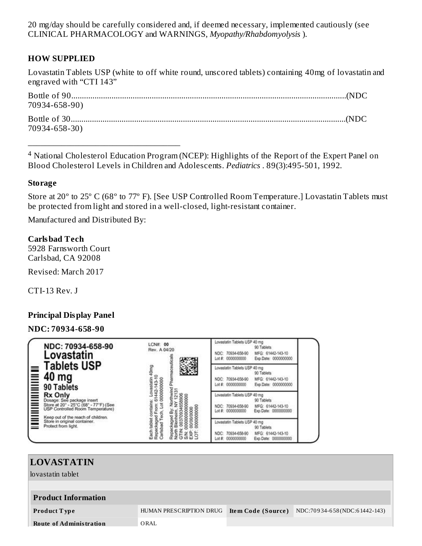20 mg/day should be carefully considered and, if deemed necessary, implemented cautiously (see CLINICAL PHARMACOLOGY and WARNINGS, *Myopathy/Rhabdomyolysis* ).

#### **HOW SUPPLIED**

Lovastatin Tablets USP (white to off white round, unscored tablets) containing 40mg of lovastatin and engraved with "CTI 143"

| 70934-658-90) |  |
|---------------|--|
|               |  |
| 70934-658-30) |  |

<sup>4</sup> National Cholesterol Education Program (NCEP): Highlights of the Report of the Expert Panel on Blood Cholesterol Levels in Children and Adolescents. *Pediatrics* . 89(3):495-501, 1992.

#### **Storage**

Store at 20<sup>°</sup> to 25<sup>°</sup> C (68<sup>°</sup> to 77<sup>°</sup> F). [See USP Controlled Room Temperature.] Lovastatin Tablets must be protected from light and stored in a well-closed, light-resistant container.

Manufactured and Distributed By:

\_\_\_\_\_\_\_\_\_\_\_\_\_\_\_\_\_\_\_\_\_\_\_\_\_\_\_\_\_\_\_\_\_\_\_\_

#### **Carlsbad Tech**

5928 Farnsworth Court Carlsbad, CA 92008

Revised: March 2017

CTI-13 Rev. J

#### **Principal Display Panel**

**NDC: 70934-658-90**



| <b>LOVASTATIN</b>              |                         |                    |                              |
|--------------------------------|-------------------------|--------------------|------------------------------|
| lovastatin tablet              |                         |                    |                              |
|                                |                         |                    |                              |
| <b>Product Information</b>     |                         |                    |                              |
| Product Type                   | HUMAN PRESCRIPTION DRUG | Item Code (Source) | NDC:70934-658(NDC:61442-143) |
| <b>Route of Administration</b> | ORAL                    |                    |                              |